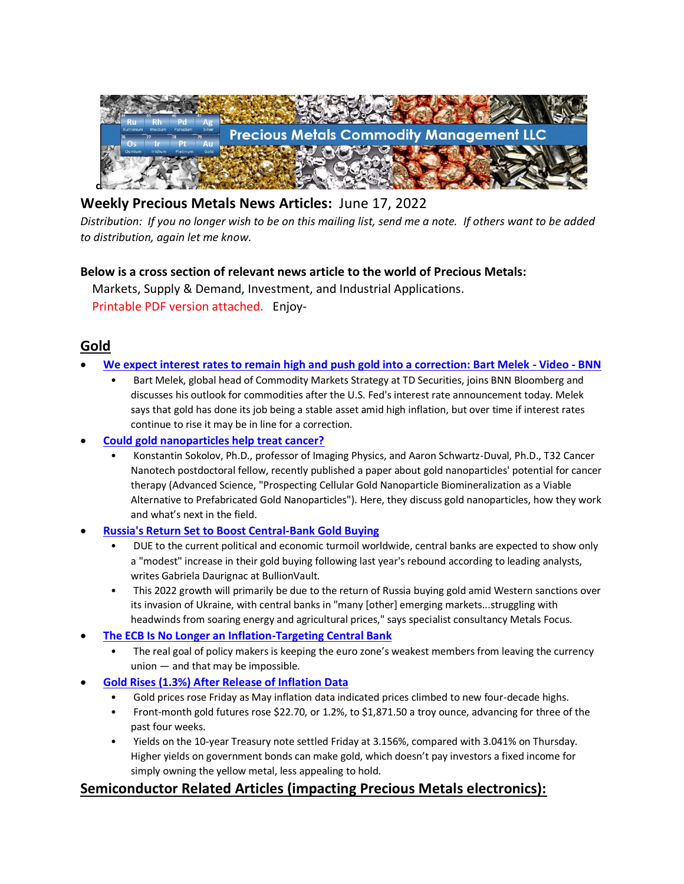

## **Weekly Precious Metals News Articles:** June 17, 2022

*Distribution: If you no longer wish to be on this mailing list, send me a note. If others want to be added to distribution, again let me know.*

#### **Below is a cross section of relevant news article to the world of Precious Metals:**

 Markets, Supply & Demand, Investment, and Industrial Applications. Printable PDF version attached. Enjoy-

## **Gold**

- **[We expect interest rates to remain high and push gold into a correction: Bart Melek -](http://www.bnnbloomberg.ca/video/we-expect-interest-rates-to-remain-high-and-push-gold-into-a-correction-bart-melek~2465434) Video - BNN**
	- Bart Melek, global head of Commodity Markets Strategy at TD Securities, joins BNN Bloomberg and discusses his outlook for commodities after the U.S. Fed's interest rate announcement today. Melek says that gold has done its job being a stable asset amid high inflation, but over time if interest rates continue to rise it may be in line for a correction.
- **[Could gold nanoparticles help treat cancer?](https://www.nanowerk.com/nanotechnology-news2/newsid=60842.php)**
	- Konstantin Sokolov, Ph.D., professor of Imaging Physics, and Aaron Schwartz-Duval, Ph.D., T32 Cancer Nanotech postdoctoral fellow, recently published a paper about gold nanoparticles' potential for cancer therapy (Advanced Science, "Prospecting Cellular Gold Nanoparticle Biomineralization as a Viable Alternative to Prefabricated Gold Nanoparticles"). Here, they discuss gold nanoparticles, how they work and what's next in the field.
- **[Russia's Return Set to Boost Central-Bank Gold Buying](https://www.bullionvault.com/gold-news/buying-gold-061020223)**
	- DUE to the current political and economic turmoil worldwide, central banks are expected to show only a "modest" increase in their gold buying following last year's rebound according to leading analysts, writes Gabriela Daurignac at BullionVault.
	- This 2022 growth will primarily be due to the return of Russia buying gold amid Western sanctions over its invasion of Ukraine, with central banks in "many [other] emerging markets...struggling with headwinds from soaring energy and agricultural prices," says specialist consultancy Metals Focus.
- **[The ECB Is No Longer an Inflation-Targeting Central Bank](https://www.bloomberg.com/opinion/articles/2022-06-13/the-ecb-is-no-longer-an-inflation-targeting-central-bank)**
	- The real goal of policy makers is keeping the euro zone's weakest members from leaving the currency union — and that may be impossible.
- **[Gold Rises \(1.3%\) After Release of Inflation Data](https://www.wsj.com/livecoverage/stock-market-news-inflation-consumer-price-index-may-2022/card/gold-rises-after-release-of-inflation-data-npEtyLk7KrVfGYMgufzF)**
	- Gold prices rose Friday as May inflation data indicated prices climbed to new four-decade highs.
	- Front-month gold futures rose \$22.70, or 1.2%, to \$1,871.50 a troy ounce, advancing for three of the past four weeks.
	- Yields on the 10-year Treasury note settled Friday at 3.156%, compared with 3.041% on Thursday. Higher yields on government bonds can make gold, which doesn't pay investors a fixed income for simply owning the yellow metal, less appealing to hold.

## **Semiconductor Related Articles (impacting Precious Metals electronics):**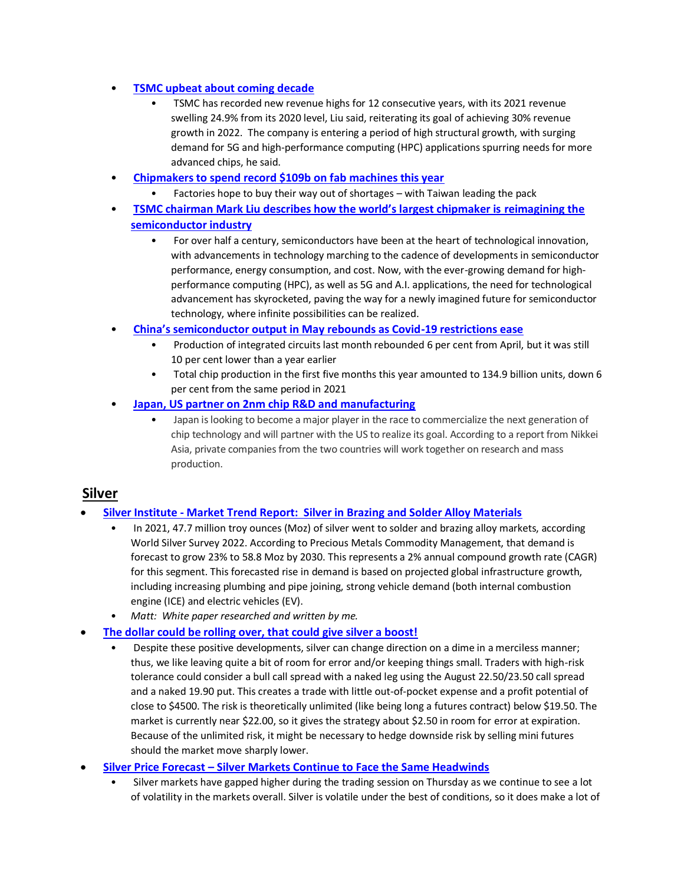#### • **[TSMC upbeat about coming decade](https://www.digitimes.com/news/a20220609PD207/ic-manufacturing-tsmc.html)**

- TSMC has recorded new revenue highs for 12 consecutive years, with its 2021 revenue swelling 24.9% from its 2020 level, Liu said, reiterating its goal of achieving 30% revenue growth in 2022. The company is entering a period of high structural growth, with surging demand for 5G and high-performance computing (HPC) applications spurring needs for more advanced chips, he said.
- **[Chipmakers to spend record \\$109b on fab machines this year](https://www.theregister.com/2022/06/13/global_semiconductor_spending/)**
	- Factories hope to buy their way out of shortages with Taiwan leading the pack
- **[TSMC chairman Mark Liu describes how the world's largest chipmaker is](https://fortune.com/2022/06/08/tsmc-semiconductors-5g-artificial-intelligence-high-performance-computing-mark-liu/) reimagining the [semiconductor industry](https://fortune.com/2022/06/08/tsmc-semiconductors-5g-artificial-intelligence-high-performance-computing-mark-liu/)**
	- For over half a century, semiconductors have been at the heart of technological innovation, with advancements in technology marching to the cadence of developments in semiconductor performance, energy consumption, and cost. Now, with the ever-growing demand for highperformance computing (HPC), as well as 5G and A.I. applications, the need for technological advancement has skyrocketed, paving the way for a newly imagined future for semiconductor technology, where infinite possibilities can be realized.
- **[China's semiconductor output in May rebounds as Covid](https://www.scmp.com/tech/tech-trends/article/3181782/chinas-semiconductor-output-may-rebounds-covid-19-restrictions)-19 restrictions ease**
	- Production of integrated circuits last month rebounded 6 per cent from April, but it was still 10 per cent lower than a year earlier
	- Total chip production in the first five months this year amounted to 134.9 billion units, down 6 per cent from the same period in 2021
- **[Japan, US partner on 2nm chip R&D and manufacturing](https://www.techspot.com/news/94957-japan-us-partner-2nm-chip-rd-manufacturing.html)**
	- Japan is looking to become a major player in the race to commercialize the next generation of chip technology and will partner with the US to realize its goal. According to a report from Nikkei Asia, private companies from the two countries will work together on research and mass production.

#### **Silver**

#### • **Silver Institute - [Market Trend Report: Silver in Brazing and Solder Alloy Materials](https://www.silverinstitute.org/wp-content/uploads/2022/06/SilverInBrazingAndAlloyMaterials_MmktTR2022.pdf)**

- In 2021, 47.7 million troy ounces (Moz) of silver went to solder and brazing alloy markets, according World Silver Survey 2022. According to Precious Metals Commodity Management, that demand is forecast to grow 23% to 58.8 Moz by 2030. This represents a 2% annual compound growth rate (CAGR) for this segment. This forecasted rise in demand is based on projected global infrastructure growth, including increasing plumbing and pipe joining, strong vehicle demand (both internal combustion engine (ICE) and electric vehicles (EV).
- *Matt: White paper researched and written by me.*
- **[The dollar could be rolling over, that could give silver a boost!](https://www.fxstreet.com/analysis/the-dollar-could-be-rolling-over-that-could-give-silver-a-boost-202206162033)**
	- Despite these positive developments, silver can change direction on a dime in a merciless manner; thus, we like leaving quite a bit of room for error and/or keeping things small. Traders with high-risk tolerance could consider a bull call spread with a naked leg using the August 22.50/23.50 call spread and a naked 19.90 put. This creates a trade with little out-of-pocket expense and a profit potential of close to \$4500. The risk is theoretically unlimited (like being long a futures contract) below \$19.50. The market is currently near \$22.00, so it gives the strategy about \$2.50 in room for error at expiration. Because of the unlimited risk, it might be necessary to hedge downside risk by selling mini futures should the market move sharply lower.
- **Silver Price Forecast – [Silver Markets Continue to Face the Same Headwinds](https://finance.yahoo.com/news/silver-price-forecast-silver-markets-155129530.html)**
	- Silver markets have gapped higher during the trading session on Thursday as we continue to see a lot of volatility in the markets overall. Silver is volatile under the best of conditions, so it does make a lot of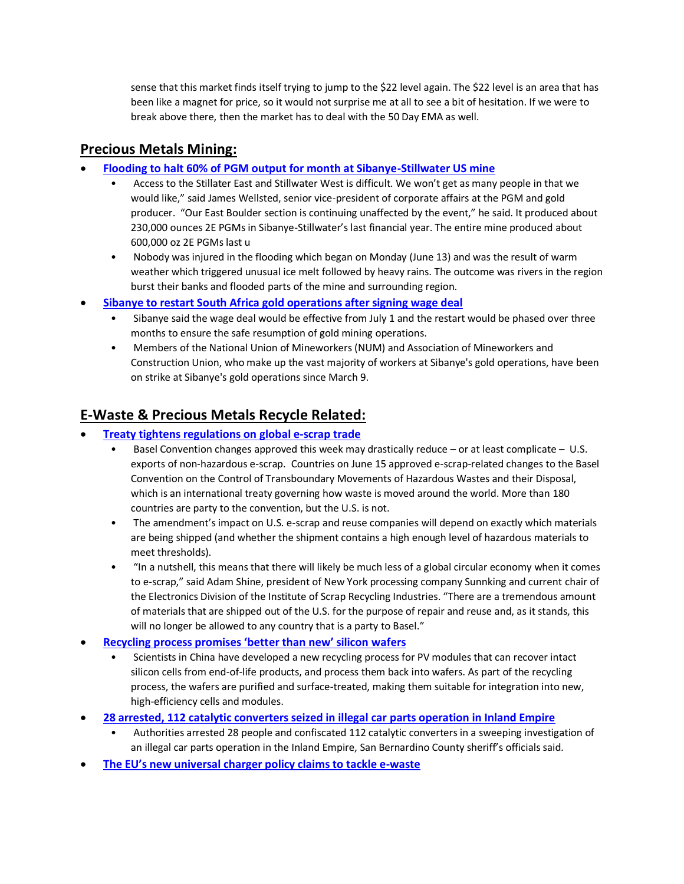sense that this market finds itself trying to jump to the \$22 level again. The \$22 level is an area that has been like a magnet for price, so it would not surprise me at all to see a bit of hesitation. If we were to break above there, then the market has to deal with the 50 Day EMA as well.

### **Precious Metals Mining:**

- **[Flooding to halt 60% of PGM output for month at Sibanye-Stillwater US mine](https://www.miningmx.com/news/platinum/49831-flooding-to-halt-60-of-pgm-output-at-sibanye-stillwater-us-mine/)**
	- Access to the Stillater East and Stillwater West is difficult. We won't get as many people in that we would like," said James Wellsted, senior vice-president of corporate affairs at the PGM and gold producer. "Our East Boulder section is continuing unaffected by the event," he said. It produced about 230,000 ounces 2E PGMs in Sibanye-Stillwater's last financial year. The entire mine produced about 600,000 oz 2E PGMs last u
	- Nobody was injured in the flooding which began on Monday (June 13) and was the result of warm weather which triggered unusual ice melt followed by heavy rains. The outcome was rivers in the region burst their banks and flooded parts of the mine and surrounding region.
- **[Sibanye to restart South Africa gold operations after signing wage deal](https://www.reuters.com/world/africa/sibanye-restart-south-africa-gold-operations-after-signing-wage-deal-2022-06-13/)**
	- Sibanye said the wage deal would be effective from July 1 and the restart would be phased over three months to ensure the safe resumption of gold mining operations.
	- Members of the National Union of Mineworkers (NUM) and Association of Mineworkers and Construction Union, who make up the vast majority of workers at Sibanye's gold operations, have been on strike at Sibanye's gold operations since March 9.

## **E-Waste & Precious Metals Recycle Related:**

- **[Treaty tightens regulations on](https://resource-recycling.com/e-scrap/2022/06/16/treaty-tightens-regulations-on-global-e-scrap-trade/) global e-scrap trade**
	- Basel Convention changes approved this week may drastically reduce  $-$  or at least complicate  $-$  U.S. exports of non-hazardous e-scrap. Countries on June 15 approved e-scrap-related changes to the Basel Convention on the Control of Transboundary Movements of Hazardous Wastes and their Disposal, which is an international treaty governing how waste is moved around the world. More than 180 countries are party to the convention, but the U.S. is not.
	- The amendment's impact on U.S. e-scrap and reuse companies will depend on exactly which materials are being shipped (and whether the shipment contains a high enough level of hazardous materials to meet thresholds).
	- "In a nutshell, this means that there will likely be much less of a global circular economy when it comes to e-scrap," said Adam Shine, president of New York processing company Sunnking and current chair of the Electronics Division of the Institute of Scrap Recycling Industries. "There are a tremendous amount of materials that are shipped out of the U.S. for the purpose of repair and reuse and, as it stands, this will no longer be allowed to any country that is a party to Basel."
- **[Recycling process promises 'better than new' silicon wafers](https://www.pv-magazine.com/2022/06/16/recycling-process-promises-better-than-new-silicon-wafers/)**
	- Scientists in China have developed a new recycling process for PV modules that can recover intact silicon cells from end-of-life products, and process them back into wafers. As part of the recycling process, the wafers are purified and surface-treated, making them suitable for integration into new, high-efficiency cells and modules.
- **[28 arrested, 112 catalytic converters seized in illegal car parts operation in Inland Empire](https://www.latimes.com/california/story/2022-06-10/authorities-arrest-28-seize-112-catalytic-converters-illegal-car-parts-inland-empire)**
	- Authorities arrested 28 people and confiscated 112 catalytic converters in a sweeping investigation of an illegal car parts operation in the Inland Empire, San Bernardino County sheriff's officials said.
- **The EU's new universal [charger policy claims to tackle e-waste](https://www.theverge.com/2022/6/8/23159808/universal-charger-e-waste-european-union-eu-usb-c-apple)**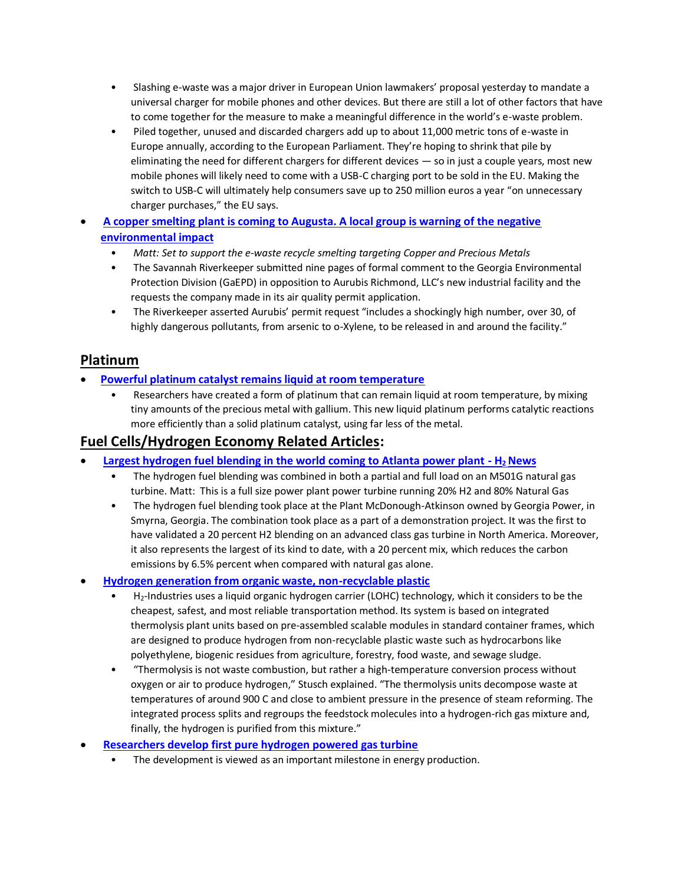- Slashing e-waste was a major driver in European Union lawmakers' proposal yesterday to mandate a universal charger for mobile phones and other devices. But there are still a lot of other factors that have to come together for the measure to make a meaningful difference in the world's e-waste problem.
- Piled together, unused and discarded chargers add up to about 11,000 metric tons of e-waste in Europe annually, according to the European Parliament. They're hoping to shrink that pile by eliminating the need for different chargers for different devices — so in just a couple years, most new mobile phones will likely need to come with a USB-C charging port to be sold in the EU. Making the switch to USB-C will ultimately help consumers save up to 250 million euros a year "on unnecessary charger purchases," the EU says.
- **[A copper smelting plant is coming to Augusta. A local group is warning of the negative](https://www.postandcourier.com/northaugusta/news/a-copper-smelting-plant-is-coming-to-augusta-a-local-group-is-warning-of-the/article_6968b31e-e1be-11ec-a85e-a3ddc4fe9bb7.html)  [environmental impact](https://www.postandcourier.com/northaugusta/news/a-copper-smelting-plant-is-coming-to-augusta-a-local-group-is-warning-of-the/article_6968b31e-e1be-11ec-a85e-a3ddc4fe9bb7.html)**
	- *Matt: Set to support the e-waste recycle smelting targeting Copper and Precious Metals*
	- The Savannah Riverkeeper submitted nine pages of formal comment to the Georgia Environmental Protection Division (GaEPD) in opposition to Aurubis Richmond, LLC's new industrial facility and the requests the company made in its air quality permit application.
	- The Riverkeeper asserted Aurubis' permit request "includes a shockingly high number, over 30, of highly dangerous pollutants, from arsenic to o-Xylene, to be released in and around the facility."

### **Platinum**

- **[Powerful platinum catalyst remains liquid at room temperature](https://newatlas.com/science/platinum-catalyst-liquid-room-temperature/)**
	- Researchers have created a form of platinum that can remain liquid at room temperature, by mixing tiny amounts of the precious metal with gallium. This new liquid platinum performs catalytic reactions more efficiently than a solid platinum catalyst, using far less of the metal.

### **Fuel Cells/Hydrogen Economy Related Articles:**

- **[Largest hydrogen fuel blending in the world coming to Atlanta power plant -](https://www.hydrogenfuelnews.com/hydrogen-fuel-blending/8553093/) H2 News**
	- The hydrogen fuel blending was combined in both a partial and full load on an M501G natural gas turbine. Matt: This is a full size power plant power turbine running 20% H2 and 80% Natural Gas
	- The hydrogen fuel blending took place at the Plant McDonough-Atkinson owned by Georgia Power, in Smyrna, Georgia. The combination took place as a part of a demonstration project. It was the first to have validated a 20 percent H2 blending on an advanced class gas turbine in North America. Moreover, it also represents the largest of its kind to date, with a 20 percent mix, which reduces the carbon emissions by 6.5% percent when compared with natural gas alone.
- **[Hydrogen generation from organic waste, non-recyclable plastic](https://www.pv-magazine.com/2022/06/14/hydrogen-generation-from-organic-waste-non-recyclable-plastic/)**
	- H2-Industries uses a liquid organic hydrogen carrier (LOHC) technology, which it considers to be the cheapest, safest, and most reliable transportation method. Its system is based on integrated thermolysis plant units based on pre-assembled scalable modules in standard container frames, which are designed to produce hydrogen from non-recyclable plastic waste such as hydrocarbons like polyethylene, biogenic residues from agriculture, forestry, food waste, and sewage sludge.
	- "Thermolysis is not waste combustion, but rather a high-temperature conversion process without oxygen or air to produce hydrogen," Stusch explained. "The thermolysis units decompose waste at temperatures of around 900 C and close to ambient pressure in the presence of steam reforming. The integrated process splits and regroups the feedstock molecules into a hydrogen-rich gas mixture and, finally, the hydrogen is purified from this mixture."
- **[Researchers develop first pure hydrogen powered gas turbine](https://www.hydrogenfuelnews.com/pure-hydrogen-research/8553075/)**
	- The development is viewed as an important milestone in energy production.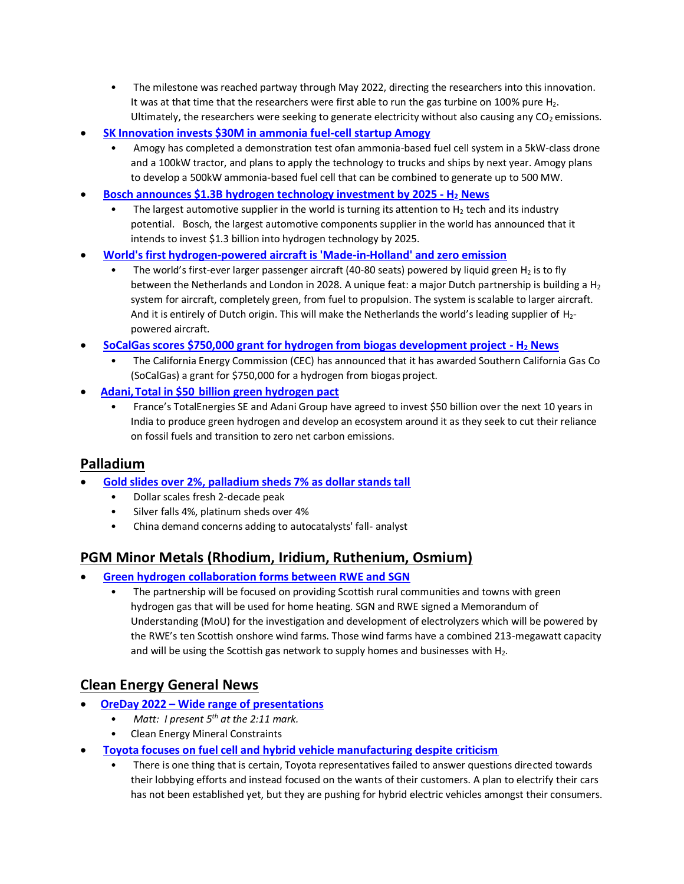- The milestone was reached partway through May 2022, directing the researchers into this innovation. It was at that time that the researchers were first able to run the gas turbine on 100% pure  $H_2$ . Ultimately, the researchers were seeking to generate electricity without also causing any  $CO<sub>2</sub>$  emissions.
- **[SK Innovation invests \\$30M in ammonia fuel-cell startup Amogy](https://www.greencarcongress.com/2022/06/20220614-skamogy.html)**
	- Amogy has completed a demonstration test ofan ammonia-based fuel cell system in a 5kW-class drone and a 100kW tractor, and plans to apply the technology to trucks and ships by next year. Amogy plans to develop a 500kW ammonia-based fuel cell that can be combined to generate up to 500 MW.
- **[Bosch announces \\$1.3B hydrogen technology investment by 2025 -](https://www.hydrogenfuelnews.com/hydrogen-technology-bosch/8553062/) H<sup>2</sup> News**
	- The largest automotive supplier in the world is turning its attention to  $H_2$  tech and its industry potential. Bosch, the largest automotive components supplier in the world has announced that it intends to invest \$1.3 billion into hydrogen technology by 2025.
- **[World's first hydrogen-powered aircraft is 'Made-in-Holland' and zero emission](https://www.innovationquarter.nl/worlds-first-commercial-hydrogen-powered-aircraft-is-made-in-holland-and-zero-emission/)**
	- The world's first-ever larger passenger aircraft (40-80 seats) powered by liquid green  $H_2$  is to fly between the Netherlands and London in 2028. A unique feat: a major Dutch partnership is building a  $H_2$ system for aircraft, completely green, from fuel to propulsion. The system is scalable to larger aircraft. And it is entirely of Dutch origin. This will make the Netherlands the world's leading supplier of  $H_{2-}$ powered aircraft.
- **[SoCalGas scores \\$750,000 grant for hydrogen from biogas development project -](https://www.hydrogenfuelnews.com/hydrogen-from-biogas/8553069/) H<sup>2</sup> News**
	- The California Energy Commission (CEC) has announced that it has awarded Southern California Gas Co (SoCalGas) a grant for \$750,000 for a hydrogen from biogas project.
- **[Adani, Total in \\$50  billion green hydrogen pact](https://www.livemint.com/companies/news/adanitotal-in-50-billion-green-hydrogen-pact-11655232800963.html)**
	- France's TotalEnergies SE and Adani Group have agreed to invest \$50 billion over the next 10 years in India to produce green hydrogen and develop an ecosystem around it as they seek to cut their reliance on fossil fuels and transition to zero net carbon emissions.

#### **Palladium**

- **[Gold slides over 2%, palladium sheds 7% as dollar stands tall](https://www.reuters.com/markets/europe/gold-prised-off-1-month-high-us-bond-yields-climb-2022-06-13/)**
	- Dollar scales fresh 2-decade peak
	- Silver falls 4%, platinum sheds over 4%
	- China demand concerns adding to autocatalysts' fall- analyst

## **PGM Minor Metals (Rhodium, Iridium, Ruthenium, Osmium)**

- **[Green hydrogen collaboration forms between RWE and SGN](https://www.hydrogenfuelnews.com/green-hydrogen-rwe-sgn/8553113/)**
	- The partnership will be focused on providing Scottish rural communities and towns with green hydrogen gas that will be used for home heating. SGN and RWE signed a Memorandum of Understanding (MoU) for the investigation and development of electrolyzers which will be powered by the RWE's ten Scottish onshore wind farms. Those wind farms have a combined 213-megawatt capacity and will be using the Scottish gas network to supply homes and businesses with  $H_2$ .

## **Clean Energy General News**

- **OreDay 2022 – [Wide range of presentations](https://youtu.be/ew3dAp0Hspc)**
	- *Matt: I present 5th at the 2:11 mark.*
	- Clean Energy Mineral Constraints
- **[Toyota focuses on fuel cell and hybrid vehicle manufacturing despite criticism](oyota%20focuses%20on%20fuel%20cell%20and%20hybrid%20vehicle%20manufacturing%20despite%20criticism)**
	- There is one thing that is certain, Toyota representatives failed to answer questions directed towards their lobbying efforts and instead focused on the wants of their customers. A plan to electrify their cars has not been established yet, but they are pushing for hybrid electric vehicles amongst their consumers.